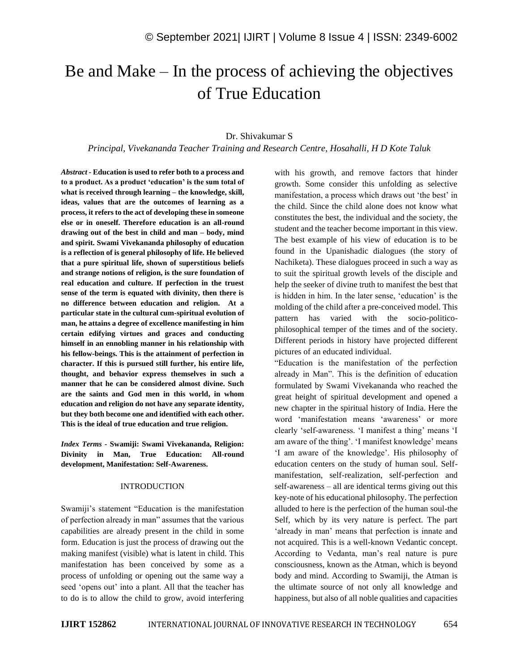# Be and Make – In the process of achieving the objectives of True Education

## Dr. Shivakumar S

*Principal, Vivekananda Teacher Training and Research Centre, Hosahalli, H D Kote Taluk*

*Abstract -* **Education is used to refer both to a process and to a product. As a product 'education' is the sum total of what is received through learning – the knowledge, skill, ideas, values that are the outcomes of learning as a process, it refers to the act of developing these in someone else or in oneself. Therefore education is an all-round drawing out of the best in child and man – body, mind and spirit. Swami Vivekananda philosophy of education is a reflection of is general philosophy of life. He believed that a pure spiritual life, shown of superstitious beliefs and strange notions of religion, is the sure foundation of real education and culture. If perfection in the truest sense of the term is equated with divinity, then there is no difference between education and religion. At a particular state in the cultural cum-spiritual evolution of man, he attains a degree of excellence manifesting in him certain edifying virtues and graces and conducting himself in an ennobling manner in his relationship with his fellow-beings. This is the attainment of perfection in character. If this is pursued still further, his entire life, thought, and behavior express themselves in such a manner that he can be considered almost divine. Such are the saints and God men in this world, in whom education and religion do not have any separate identity, but they both become one and identified with each other. This is the ideal of true education and true religion.**

*Index Terms -* **Swamiji: Swami Vivekananda, Religion: Divinity in Man, True Education: All-round development, Manifestation: Self-Awareness.**

#### INTRODUCTION

Swamiji's statement "Education is the manifestation of perfection already in man" assumes that the various capabilities are already present in the child in some form. Education is just the process of drawing out the making manifest (visible) what is latent in child. This manifestation has been conceived by some as a process of unfolding or opening out the same way a seed 'opens out' into a plant. All that the teacher has to do is to allow the child to grow, avoid interfering with his growth, and remove factors that hinder growth. Some consider this unfolding as selective manifestation, a process which draws out 'the best' in the child. Since the child alone does not know what constitutes the best, the individual and the society, the student and the teacher become important in this view. The best example of his view of education is to be found in the Upanishadic dialogues (the story of Nachiketa). These dialogues proceed in such a way as to suit the spiritual growth levels of the disciple and help the seeker of divine truth to manifest the best that is hidden in him. In the later sense, 'education' is the molding of the child after a pre-conceived model. This pattern has varied with the socio-politicophilosophical temper of the times and of the society. Different periods in history have projected different pictures of an educated individual.

"Education is the manifestation of the perfection already in Man". This is the definition of education formulated by Swami Vivekananda who reached the great height of spiritual development and opened a new chapter in the spiritual history of India. Here the word 'manifestation means 'awareness' or more clearly 'self-awareness. 'I manifest a thing' means 'I am aware of the thing'. 'I manifest knowledge' means 'I am aware of the knowledge'. His philosophy of education centers on the study of human soul. Selfmanifestation, self-realization, self-perfection and self-awareness – all are identical terms giving out this key-note of his educational philosophy. The perfection alluded to here is the perfection of the human soul-the Self, which by its very nature is perfect. The part 'already in man' means that perfection is innate and not acquired. This is a well-known Vedantic concept. According to Vedanta, man's real nature is pure consciousness, known as the Atman, which is beyond body and mind. According to Swamiji, the Atman is the ultimate source of not only all knowledge and happiness, but also of all noble qualities and capacities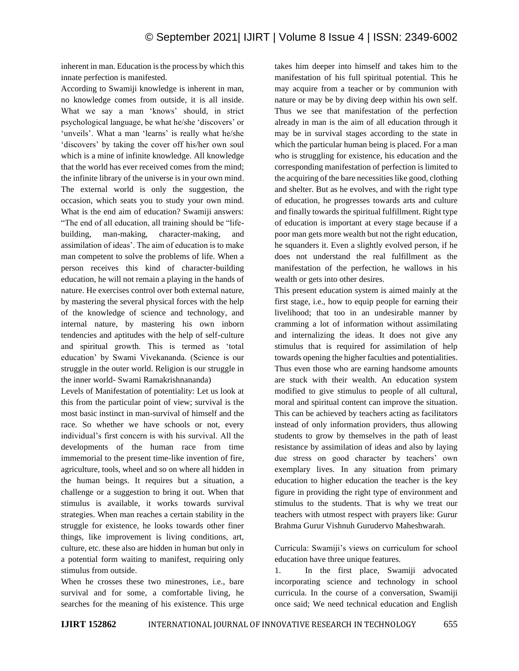inherent in man. Education is the process by which this innate perfection is manifested.

According to Swamiji knowledge is inherent in man, no knowledge comes from outside, it is all inside. What we say a man 'knows' should, in strict psychological language, be what he/she 'discovers' or 'unveils'. What a man 'learns' is really what he/she 'discovers' by taking the cover off his/her own soul which is a mine of infinite knowledge. All knowledge that the world has ever received comes from the mind; the infinite library of the universe is in your own mind. The external world is only the suggestion, the occasion, which seats you to study your own mind. What is the end aim of education? Swamiji answers: "The end of all education, all training should be "lifebuilding, man-making, character-making, and assimilation of ideas'. The aim of education is to make man competent to solve the problems of life. When a person receives this kind of character-building education, he will not remain a playing in the hands of nature. He exercises control over both external nature, by mastering the several physical forces with the help of the knowledge of science and technology, and internal nature, by mastering his own inborn tendencies and aptitudes with the help of self-culture and spiritual growth. This is termed as 'total education' by Swami Vivekananda. (Science is our struggle in the outer world. Religion is our struggle in the inner world- Swami Ramakrishnananda)

Levels of Manifestation of potentiality: Let us look at this from the particular point of view; survival is the most basic instinct in man-survival of himself and the race. So whether we have schools or not, every individual's first concern is with his survival. All the developments of the human race from time immemorial to the present time-like invention of fire, agriculture, tools, wheel and so on where all hidden in the human beings. It requires but a situation, a challenge or a suggestion to bring it out. When that stimulus is available, it works towards survival strategies. When man reaches a certain stability in the struggle for existence, he looks towards other finer things, like improvement is living conditions, art, culture, etc. these also are hidden in human but only in a potential form waiting to manifest, requiring only stimulus from outside.

When he crosses these two minestrones, i.e., bare survival and for some, a comfortable living, he searches for the meaning of his existence. This urge

takes him deeper into himself and takes him to the manifestation of his full spiritual potential. This he may acquire from a teacher or by communion with nature or may be by diving deep within his own self. Thus we see that manifestation of the perfection already in man is the aim of all education through it may be in survival stages according to the state in which the particular human being is placed. For a man who is struggling for existence, his education and the corresponding manifestation of perfection is limited to the acquiring of the bare necessities like good, clothing and shelter. But as he evolves, and with the right type of education, he progresses towards arts and culture and finally towards the spiritual fulfillment. Right type of education is important at every stage because if a poor man gets more wealth but not the right education, he squanders it. Even a slightly evolved person, if he does not understand the real fulfillment as the manifestation of the perfection, he wallows in his wealth or gets into other desires.

This present education system is aimed mainly at the first stage, i.e., how to equip people for earning their livelihood; that too in an undesirable manner by cramming a lot of information without assimilating and internalizing the ideas. It does not give any stimulus that is required for assimilation of help towards opening the higher faculties and potentialities. Thus even those who are earning handsome amounts are stuck with their wealth. An education system modified to give stimulus to people of all cultural, moral and spiritual content can improve the situation. This can be achieved by teachers acting as facilitators instead of only information providers, thus allowing students to grow by themselves in the path of least resistance by assimilation of ideas and also by laying due stress on good character by teachers' own exemplary lives. In any situation from primary education to higher education the teacher is the key figure in providing the right type of environment and stimulus to the students. That is why we treat our teachers with utmost respect with prayers like: Gurur Brahma Gurur Vishnuh Gurudervo Maheshwarah.

Curricula: Swamiji's views on curriculum for school education have three unique features.

1. In the first place, Swamiji advocated incorporating science and technology in school curricula. In the course of a conversation, Swamiji once said; We need technical education and English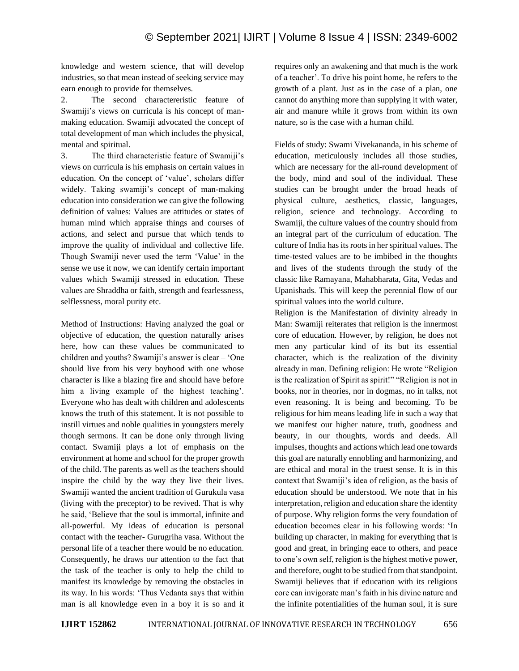knowledge and western science, that will develop industries, so that mean instead of seeking service may earn enough to provide for themselves.

2. The second charactereristic feature of Swamiji's views on curricula is his concept of manmaking education. Swamiji advocated the concept of total development of man which includes the physical, mental and spiritual.

3. The third characteristic feature of Swamiji's views on curricula is his emphasis on certain values in education. On the concept of 'value', scholars differ widely. Taking swamiji's concept of man-making education into consideration we can give the following definition of values: Values are attitudes or states of human mind which appraise things and courses of actions, and select and pursue that which tends to improve the quality of individual and collective life. Though Swamiji never used the term 'Value' in the sense we use it now, we can identify certain important values which Swamiji stressed in education. These values are Shraddha or faith, strength and fearlessness, selflessness, moral purity etc.

Method of Instructions: Having analyzed the goal or objective of education, the question naturally arises here, how can these values be communicated to children and youths? Swamiji's answer is clear – 'One should live from his very boyhood with one whose character is like a blazing fire and should have before him a living example of the highest teaching'. Everyone who has dealt with children and adolescents knows the truth of this statement. It is not possible to instill virtues and noble qualities in youngsters merely though sermons. It can be done only through living contact. Swamiji plays a lot of emphasis on the environment at home and school for the proper growth of the child. The parents as well as the teachers should inspire the child by the way they live their lives. Swamiji wanted the ancient tradition of Gurukula vasa (living with the preceptor) to be revived. That is why he said, 'Believe that the soul is immortal, infinite and all-powerful. My ideas of education is personal contact with the teacher- Gurugriha vasa. Without the personal life of a teacher there would be no education. Consequently, he draws our attention to the fact that the task of the teacher is only to help the child to manifest its knowledge by removing the obstacles in its way. In his words: 'Thus Vedanta says that within man is all knowledge even in a boy it is so and it requires only an awakening and that much is the work of a teacher'. To drive his point home, he refers to the growth of a plant. Just as in the case of a plan, one cannot do anything more than supplying it with water, air and manure while it grows from within its own nature, so is the case with a human child.

Fields of study: Swami Vivekananda, in his scheme of education, meticulously includes all those studies, which are necessary for the all-round development of the body, mind and soul of the individual. These studies can be brought under the broad heads of physical culture, aesthetics, classic, languages, religion, science and technology. According to Swamiji, the culture values of the country should from an integral part of the curriculum of education. The culture of India has its roots in her spiritual values. The time-tested values are to be imbibed in the thoughts and lives of the students through the study of the classic like Ramayana, Mahabharata, Gita, Vedas and Upanishads. This will keep the perennial flow of our spiritual values into the world culture.

Religion is the Manifestation of divinity already in Man: Swamiji reiterates that religion is the innermost core of education. However, by religion, he does not men any particular kind of its but its essential character, which is the realization of the divinity already in man. Defining religion: He wrote "Religion is the realization of Spirit as spirit!" "Religion is not in books, nor in theories, nor in dogmas, no in talks, not even reasoning. It is being and becoming. To be religious for him means leading life in such a way that we manifest our higher nature, truth, goodness and beauty, in our thoughts, words and deeds. All impulses, thoughts and actions which lead one towards this goal are naturally ennobling and harmonizing, and are ethical and moral in the truest sense. It is in this context that Swamiji's idea of religion, as the basis of education should be understood. We note that in his interpretation, religion and education share the identity of purpose. Why religion forms the very foundation of education becomes clear in his following words: 'In building up character, in making for everything that is good and great, in bringing eace to others, and peace to one's own self, religion is the highest motive power, and therefore, ought to be studied from that standpoint. Swamiji believes that if education with its religious core can invigorate man's faith in his divine nature and the infinite potentialities of the human soul, it is sure